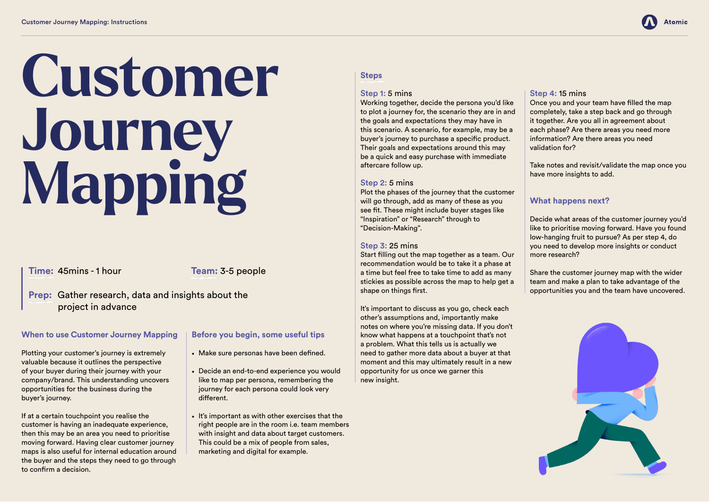# **When to use Customer Journey Mapping**

Plotting your customer's journey is extremely valuable because it outlines the perspective of your buyer during their journey with your company/brand. This understanding uncovers opportunities for the business during the buyer's journey.

If at a certain touchpoint you realise the customer is having an inadequate experience, then this may be an area you need to prioritise moving forward. Having clear customer journey maps is also useful for internal education around the buyer and the steps they need to go through to confirm a decision.

## **Before you begin, some useful tips**

- Make sure personas have been defined.
- Decide an end-to-end experience you would like to map per persona, remembering the journey for each persona could look very different.
- It's important as with other exercises that the right people are in the room i.e. team members with insight and data about target customers. This could be a mix of people from sales, marketing and digital for example.

#### **Steps**

# Step 1: 5 mins

It's important to discuss as you go, check each other's assumptions and, importantly make notes on where you're missing data. If you don't know what happens at a touchpoint that's not a problem. What this tells us is actually we need to gather more data about a buyer at that moment and this may ultimately result in a new opportunity for us once we garner this new insight.

Working together, decide the persona you'd like to plot a journey for, the scenario they are in and the goals and expectations they may have in this scenario. A scenario, for example, may be a buyer's journey to purchase a specific product. Their goals and expectations around this may be a quick and easy purchase with immediate aftercare follow up.

#### Step 2: 5 mins

Plot the phases of the journey that the customer will go through, add as many of these as you see fit. These might include buyer stages like "Inspiration" or "Research" through to "Decision-Making".

## Step 3: 25 mins

Start filling out the map together as a team. Our recommendation would be to take it a phase at a time but feel free to take time to add as many stickies as possible across the map to help get a shape on things first.

#### Step 4: 15 mins

Once you and your team have filled the map completely, take a step back and go through it together. Are you all in agreement about each phase? Are there areas you need more information? Are there areas you need validation for?

Take notes and revisit/validate the map once you have more insights to add.

## **What happens next?**

Decide what areas of the customer journey you'd like to prioritise moving forward. Have you found low-hanging fruit to pursue? As per step 4, do you need to develop more insights or conduct more research?



Share the customer journey map with the wider team and make a plan to take advantage of the opportunities you and the team have uncovered.



# **Customer Journey Mapping**

**Time:** 45mins - 1 hour

**Prep:** Gather research, data and insights about the project in advance

**Team:** 3-5 people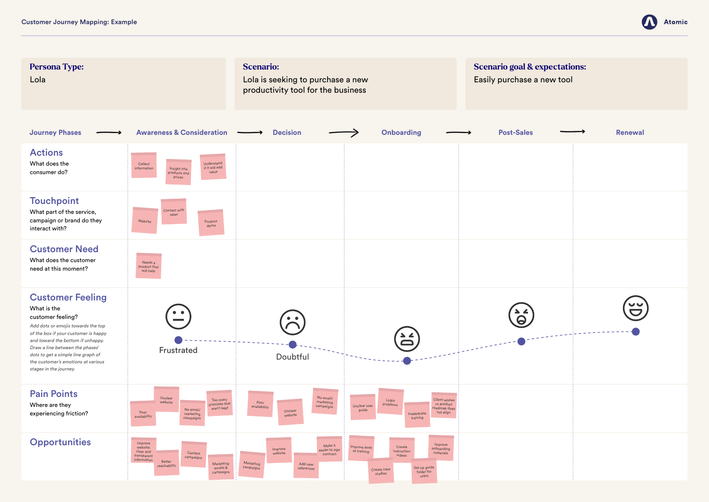